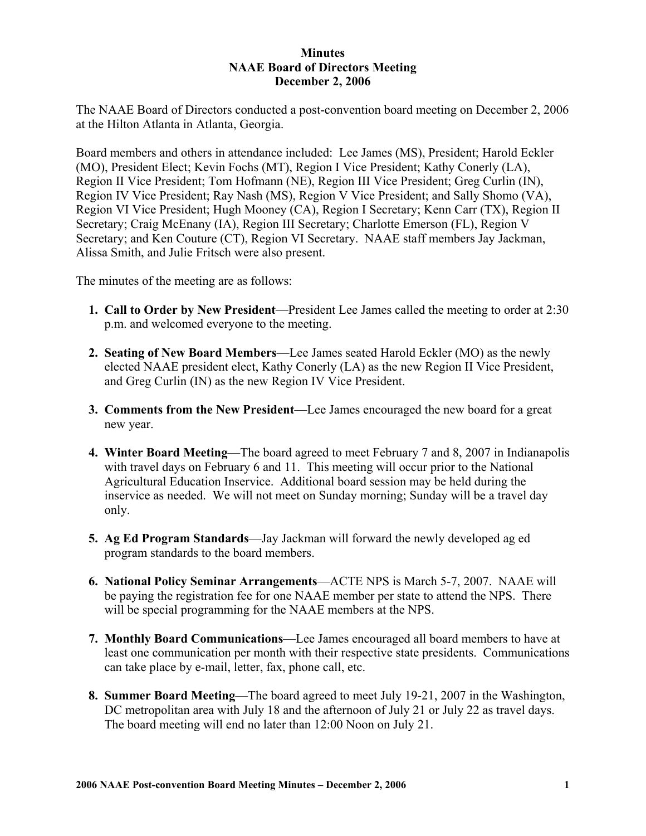## **Minutes NAAE Board of Directors Meeting December 2, 2006**

The NAAE Board of Directors conducted a post-convention board meeting on December 2, 2006 at the Hilton Atlanta in Atlanta, Georgia.

Board members and others in attendance included: Lee James (MS), President; Harold Eckler (MO), President Elect; Kevin Fochs (MT), Region I Vice President; Kathy Conerly (LA), Region II Vice President; Tom Hofmann (NE), Region III Vice President; Greg Curlin (IN), Region IV Vice President; Ray Nash (MS), Region V Vice President; and Sally Shomo (VA), Region VI Vice President; Hugh Mooney (CA), Region I Secretary; Kenn Carr (TX), Region II Secretary; Craig McEnany (IA), Region III Secretary; Charlotte Emerson (FL), Region V Secretary; and Ken Couture (CT), Region VI Secretary. NAAE staff members Jay Jackman, Alissa Smith, and Julie Fritsch were also present.

The minutes of the meeting are as follows:

- **1. Call to Order by New President**—President Lee James called the meeting to order at 2:30 p.m. and welcomed everyone to the meeting.
- **2. Seating of New Board Members**—Lee James seated Harold Eckler (MO) as the newly elected NAAE president elect, Kathy Conerly (LA) as the new Region II Vice President, and Greg Curlin (IN) as the new Region IV Vice President.
- **3. Comments from the New President**—Lee James encouraged the new board for a great new year.
- **4. Winter Board Meeting**—The board agreed to meet February 7 and 8, 2007 in Indianapolis with travel days on February 6 and 11. This meeting will occur prior to the National Agricultural Education Inservice. Additional board session may be held during the inservice as needed. We will not meet on Sunday morning; Sunday will be a travel day only.
- **5. Ag Ed Program Standards**—Jay Jackman will forward the newly developed ag ed program standards to the board members.
- **6. National Policy Seminar Arrangements**—ACTE NPS is March 5-7, 2007. NAAE will be paying the registration fee for one NAAE member per state to attend the NPS. There will be special programming for the NAAE members at the NPS.
- **7. Monthly Board Communications**—Lee James encouraged all board members to have at least one communication per month with their respective state presidents. Communications can take place by e-mail, letter, fax, phone call, etc.
- **8. Summer Board Meeting**—The board agreed to meet July 19-21, 2007 in the Washington, DC metropolitan area with July 18 and the afternoon of July 21 or July 22 as travel days. The board meeting will end no later than 12:00 Noon on July 21.